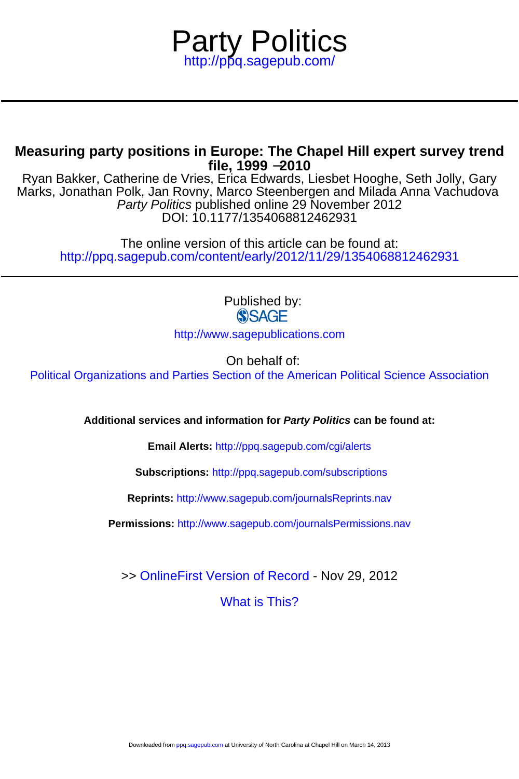

# **file, 1999** −**2010 Measuring party positions in Europe: The Chapel Hill expert survey trend**

DOI: 10.1177/1354068812462931 Party Politics published online 29 November 2012 Marks, Jonathan Polk, Jan Rovny, Marco Steenbergen and Milada Anna Vachudova Ryan Bakker, Catherine de Vries, Erica Edwards, Liesbet Hooghe, Seth Jolly, Gary

<http://ppq.sagepub.com/content/early/2012/11/29/1354068812462931> The online version of this article can be found at:

> Published by: **SSAGE** <http://www.sagepublications.com>

> > On behalf of:

[Political Organizations and Parties Section of the American Political Science Association](http://www.apsanet.org/~pop/)

**Additional services and information for Party Politics can be found at:**

**Email Alerts:** <http://ppq.sagepub.com/cgi/alerts>

**Subscriptions:** <http://ppq.sagepub.com/subscriptions>

**Reprints:** <http://www.sagepub.com/journalsReprints.nav>

**Permissions:** <http://www.sagepub.com/journalsPermissions.nav>

>> [OnlineFirst Version of Record -](http://ppq.sagepub.com/content/early/2012/11/29/1354068812462931.full.pdf) Nov 29, 2012

[What is This?](http://online.sagepub.com/site/sphelp/vorhelp.xhtml)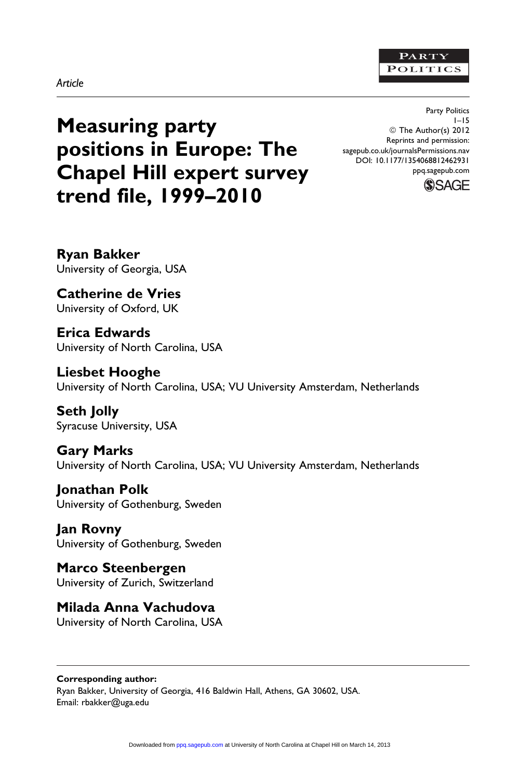## PARTY **POLITICS**

## Article

Measuring party positions in Europe: The Chapel Hill expert survey trend file, 1999–2010

Party Politics 1–15 ª The Author(s) 2012 Reprints and permission: sagepub.co.uk/journalsPermissions.nav DOI: 10.1177/1354068812462931 ppq.sagepub.com



Ryan Bakker University of Georgia, USA

Catherine de Vries University of Oxford, UK

Erica Edwards University of North Carolina, USA

Liesbet Hooghe University of North Carolina, USA; VU University Amsterdam, Netherlands

Seth Jolly Syracuse University, USA

Gary Marks University of North Carolina, USA; VU University Amsterdam, Netherlands

Jonathan Polk University of Gothenburg, Sweden

Jan Rovny University of Gothenburg, Sweden

Marco Steenbergen University of Zurich, Switzerland

Milada Anna Vachudova

University of North Carolina, USA

Corresponding author: Ryan Bakker, University of Georgia, 416 Baldwin Hall, Athens, GA 30602, USA. Email: rbakker@uga.edu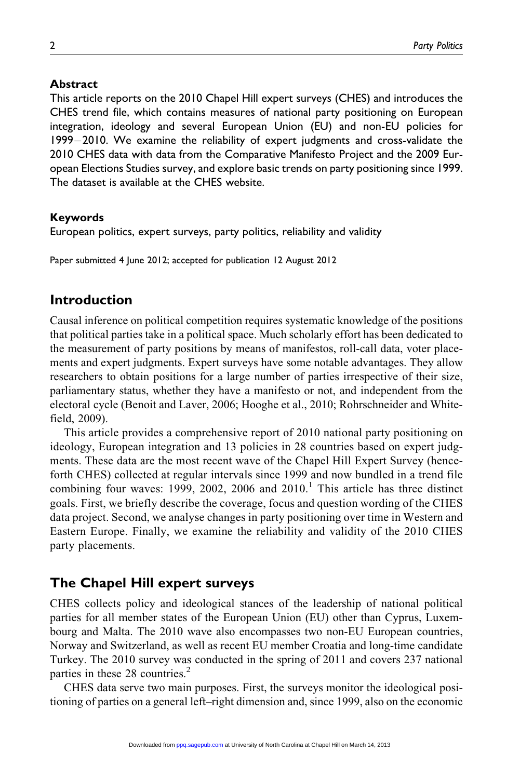## **Abstract**

This article reports on the 2010 Chapel Hill expert surveys (CHES) and introduces the CHES trend file, which contains measures of national party positioning on European integration, ideology and several European Union (EU) and non-EU policies for 1999-2010. We examine the reliability of expert judgments and cross-validate the 2010 CHES data with data from the Comparative Manifesto Project and the 2009 European Elections Studies survey, and explore basic trends on party positioning since 1999. The dataset is available at the CHES website.

## Keywords

European politics, expert surveys, party politics, reliability and validity

Paper submitted 4 June 2012; accepted for publication 12 August 2012

## Introduction

Causal inference on political competition requires systematic knowledge of the positions that political parties take in a political space. Much scholarly effort has been dedicated to the measurement of party positions by means of manifestos, roll-call data, voter placements and expert judgments. Expert surveys have some notable advantages. They allow researchers to obtain positions for a large number of parties irrespective of their size, parliamentary status, whether they have a manifesto or not, and independent from the electoral cycle (Benoit and Laver, 2006; Hooghe et al., 2010; Rohrschneider and Whitefield, 2009).

This article provides a comprehensive report of 2010 national party positioning on ideology, European integration and 13 policies in 28 countries based on expert judgments. These data are the most recent wave of the Chapel Hill Expert Survey (henceforth CHES) collected at regular intervals since 1999 and now bundled in a trend file combining four waves: 1999, 2002, 2006 and  $2010<sup>1</sup>$ . This article has three distinct goals. First, we briefly describe the coverage, focus and question wording of the CHES data project. Second, we analyse changes in party positioning over time in Western and Eastern Europe. Finally, we examine the reliability and validity of the 2010 CHES party placements.

# The Chapel Hill expert surveys

CHES collects policy and ideological stances of the leadership of national political parties for all member states of the European Union (EU) other than Cyprus, Luxembourg and Malta. The 2010 wave also encompasses two non-EU European countries, Norway and Switzerland, as well as recent EU member Croatia and long-time candidate Turkey. The 2010 survey was conducted in the spring of 2011 and covers 237 national parties in these 28 countries. $<sup>2</sup>$ </sup>

CHES data serve two main purposes. First, the surveys monitor the ideological positioning of parties on a general left–right dimension and, since 1999, also on the economic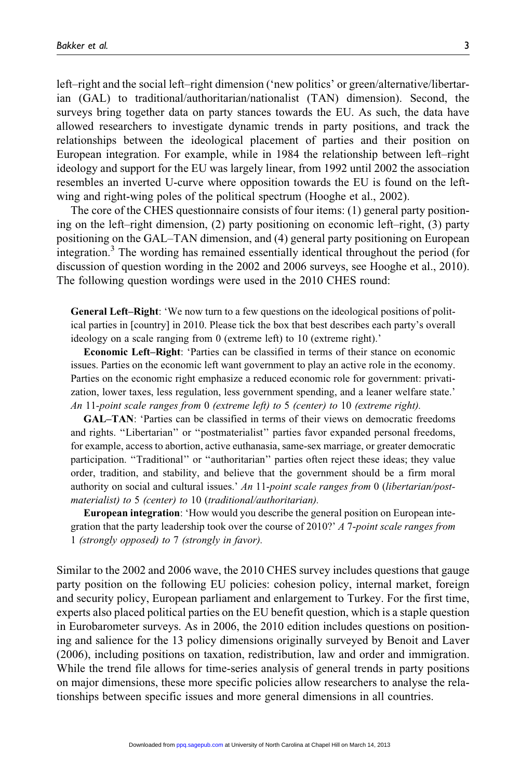left–right and the social left–right dimension ('new politics' or green/alternative/libertarian (GAL) to traditional/authoritarian/nationalist (TAN) dimension). Second, the surveys bring together data on party stances towards the EU. As such, the data have allowed researchers to investigate dynamic trends in party positions, and track the relationships between the ideological placement of parties and their position on European integration. For example, while in 1984 the relationship between left–right ideology and support for the EU was largely linear, from 1992 until 2002 the association resembles an inverted U-curve where opposition towards the EU is found on the leftwing and right-wing poles of the political spectrum (Hooghe et al., 2002).

The core of the CHES questionnaire consists of four items: (1) general party positioning on the left–right dimension, (2) party positioning on economic left–right, (3) party positioning on the GAL–TAN dimension, and (4) general party positioning on European integration.<sup>3</sup> The wording has remained essentially identical throughout the period (for discussion of question wording in the 2002 and 2006 surveys, see Hooghe et al., 2010). The following question wordings were used in the 2010 CHES round:

General Left–Right: 'We now turn to a few questions on the ideological positions of political parties in [country] in 2010. Please tick the box that best describes each party's overall ideology on a scale ranging from 0 (extreme left) to 10 (extreme right).'

Economic Left–Right: 'Parties can be classified in terms of their stance on economic issues. Parties on the economic left want government to play an active role in the economy. Parties on the economic right emphasize a reduced economic role for government: privatization, lower taxes, less regulation, less government spending, and a leaner welfare state.' An 11-point scale ranges from 0 (extreme left) to 5 (center) to 10 (extreme right).

GAL–TAN: 'Parties can be classified in terms of their views on democratic freedoms and rights. ''Libertarian'' or ''postmaterialist'' parties favor expanded personal freedoms, for example, access to abortion, active euthanasia, same-sex marriage, or greater democratic participation. "Traditional" or "authoritarian" parties often reject these ideas; they value order, tradition, and stability, and believe that the government should be a firm moral authority on social and cultural issues.' An 11-point scale ranges from 0 (libertarian/postmaterialist) to 5 (center) to 10 (traditional/authoritarian).

European integration: 'How would you describe the general position on European integration that the party leadership took over the course of 2010?' A 7-point scale ranges from 1 (strongly opposed) to 7 (strongly in favor).

Similar to the 2002 and 2006 wave, the 2010 CHES survey includes questions that gauge party position on the following EU policies: cohesion policy, internal market, foreign and security policy, European parliament and enlargement to Turkey. For the first time, experts also placed political parties on the EU benefit question, which is a staple question in Eurobarometer surveys. As in 2006, the 2010 edition includes questions on positioning and salience for the 13 policy dimensions originally surveyed by Benoit and Laver (2006), including positions on taxation, redistribution, law and order and immigration. While the trend file allows for time-series analysis of general trends in party positions on major dimensions, these more specific policies allow researchers to analyse the relationships between specific issues and more general dimensions in all countries.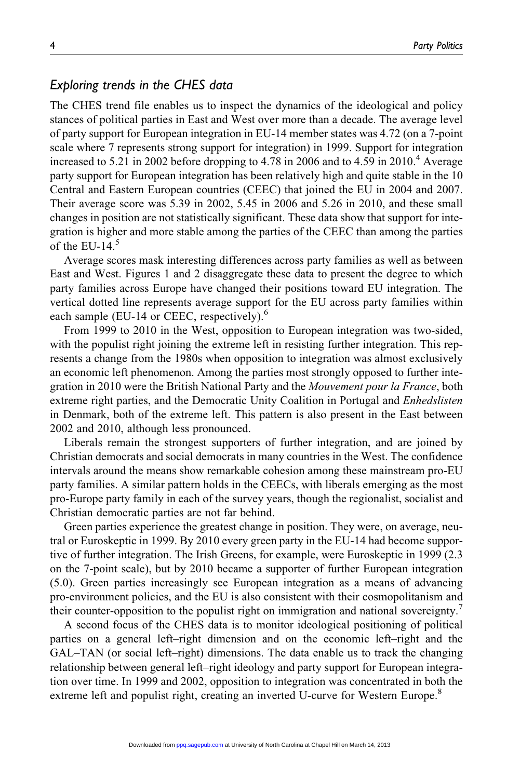## Exploring trends in the CHES data

The CHES trend file enables us to inspect the dynamics of the ideological and policy stances of political parties in East and West over more than a decade. The average level of party support for European integration in EU-14 member states was 4.72 (on a 7-point scale where 7 represents strong support for integration) in 1999. Support for integration increased to 5.21 in 2002 before dropping to 4.78 in 2006 and to 4.59 in  $2010<sup>4</sup>$  Average party support for European integration has been relatively high and quite stable in the 10 Central and Eastern European countries (CEEC) that joined the EU in 2004 and 2007. Their average score was 5.39 in 2002, 5.45 in 2006 and 5.26 in 2010, and these small changes in position are not statistically significant. These data show that support for integration is higher and more stable among the parties of the CEEC than among the parties of the EU-14. $5$ 

Average scores mask interesting differences across party families as well as between East and West. Figures 1 and 2 disaggregate these data to present the degree to which party families across Europe have changed their positions toward EU integration. The vertical dotted line represents average support for the EU across party families within each sample (EU-14 or CEEC, respectively). $<sup>6</sup>$ </sup>

From 1999 to 2010 in the West, opposition to European integration was two-sided, with the populist right joining the extreme left in resisting further integration. This represents a change from the 1980s when opposition to integration was almost exclusively an economic left phenomenon. Among the parties most strongly opposed to further integration in 2010 were the British National Party and the Mouvement pour la France, both extreme right parties, and the Democratic Unity Coalition in Portugal and *Enhedslisten* in Denmark, both of the extreme left. This pattern is also present in the East between 2002 and 2010, although less pronounced.

Liberals remain the strongest supporters of further integration, and are joined by Christian democrats and social democrats in many countries in the West. The confidence intervals around the means show remarkable cohesion among these mainstream pro-EU party families. A similar pattern holds in the CEECs, with liberals emerging as the most pro-Europe party family in each of the survey years, though the regionalist, socialist and Christian democratic parties are not far behind.

Green parties experience the greatest change in position. They were, on average, neutral or Euroskeptic in 1999. By 2010 every green party in the EU-14 had become supportive of further integration. The Irish Greens, for example, were Euroskeptic in 1999 (2.3 on the 7-point scale), but by 2010 became a supporter of further European integration (5.0). Green parties increasingly see European integration as a means of advancing pro-environment policies, and the EU is also consistent with their cosmopolitanism and their counter-opposition to the populist right on immigration and national sovereignty.

A second focus of the CHES data is to monitor ideological positioning of political parties on a general left–right dimension and on the economic left–right and the GAL–TAN (or social left–right) dimensions. The data enable us to track the changing relationship between general left–right ideology and party support for European integration over time. In 1999 and 2002, opposition to integration was concentrated in both the extreme left and populist right, creating an inverted U-curve for Western Europe.<sup>8</sup>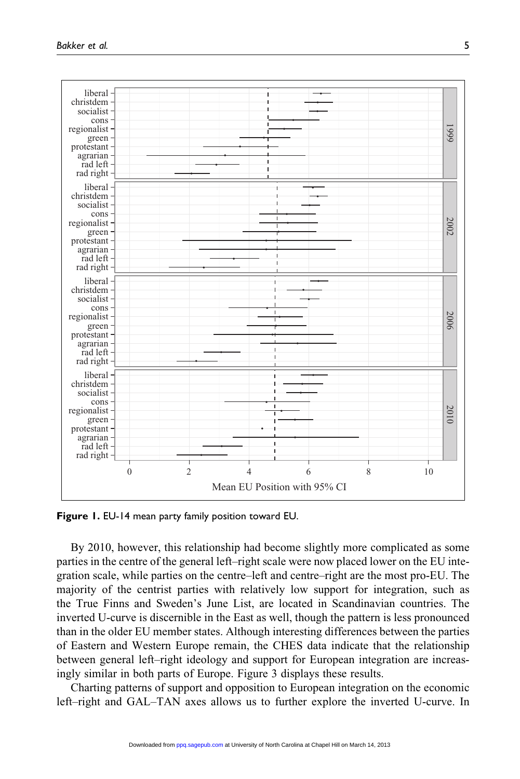

Figure 1. EU-14 mean party family position toward EU.

By 2010, however, this relationship had become slightly more complicated as some parties in the centre of the general left–right scale were now placed lower on the EU integration scale, while parties on the centre–left and centre–right are the most pro-EU. The majority of the centrist parties with relatively low support for integration, such as the True Finns and Sweden's June List, are located in Scandinavian countries. The inverted U-curve is discernible in the East as well, though the pattern is less pronounced than in the older EU member states. Although interesting differences between the parties of Eastern and Western Europe remain, the CHES data indicate that the relationship between general left–right ideology and support for European integration are increasingly similar in both parts of Europe. Figure 3 displays these results.

Charting patterns of support and opposition to European integration on the economic left–right and GAL–TAN axes allows us to further explore the inverted U-curve. In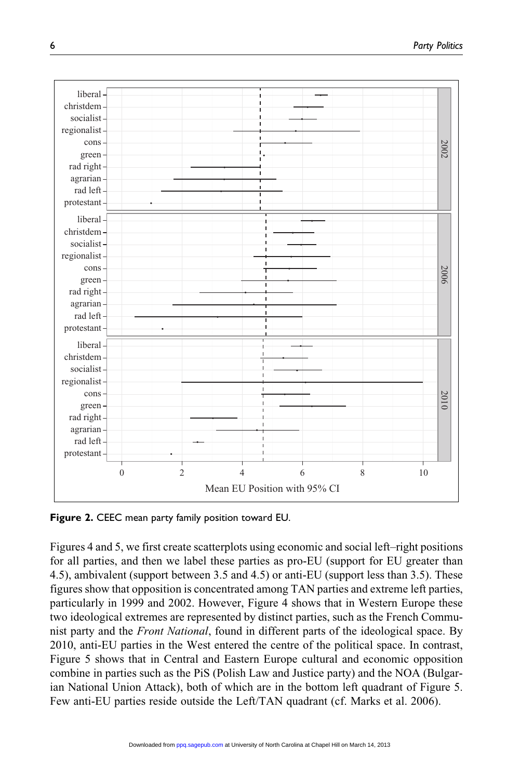

Figure 2. CEEC mean party family position toward EU.

Figures 4 and 5, we first create scatterplots using economic and social left–right positions for all parties, and then we label these parties as pro-EU (support for EU greater than 4.5), ambivalent (support between 3.5 and 4.5) or anti-EU (support less than 3.5). These figures show that opposition is concentrated among TAN parties and extreme left parties, particularly in 1999 and 2002. However, Figure 4 shows that in Western Europe these two ideological extremes are represented by distinct parties, such as the French Communist party and the Front National, found in different parts of the ideological space. By 2010, anti-EU parties in the West entered the centre of the political space. In contrast, Figure 5 shows that in Central and Eastern Europe cultural and economic opposition combine in parties such as the PiS (Polish Law and Justice party) and the NOA (Bulgarian National Union Attack), both of which are in the bottom left quadrant of Figure 5. Few anti-EU parties reside outside the Left/TAN quadrant (cf. Marks et al. 2006).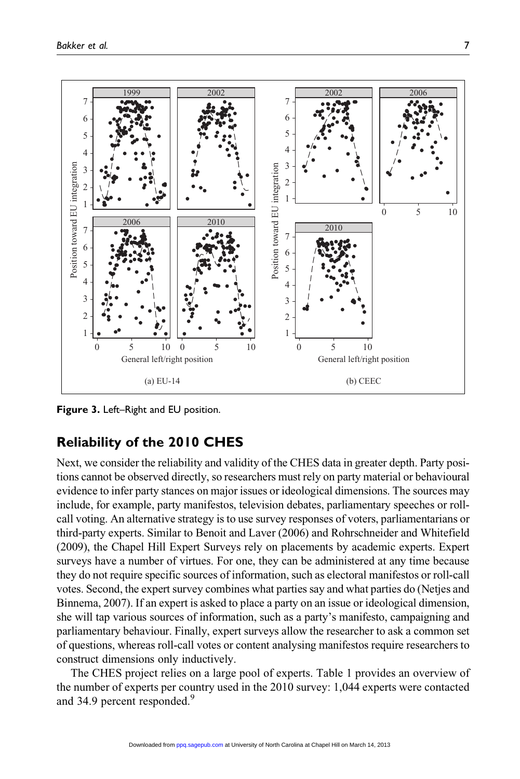

Figure 3. Left–Right and EU position.

# Reliability of the 2010 CHES

Next, we consider the reliability and validity of the CHES data in greater depth. Party positions cannot be observed directly, so researchers must rely on party material or behavioural evidence to infer party stances on major issues or ideological dimensions. The sources may include, for example, party manifestos, television debates, parliamentary speeches or rollcall voting. An alternative strategy is to use survey responses of voters, parliamentarians or third-party experts. Similar to Benoit and Laver (2006) and Rohrschneider and Whitefield (2009), the Chapel Hill Expert Surveys rely on placements by academic experts. Expert surveys have a number of virtues. For one, they can be administered at any time because they do not require specific sources of information, such as electoral manifestos or roll-call votes. Second, the expert survey combines what parties say and what parties do (Netjes and Binnema, 2007). If an expert is asked to place a party on an issue or ideological dimension, she will tap various sources of information, such as a party's manifesto, campaigning and parliamentary behaviour. Finally, expert surveys allow the researcher to ask a common set of questions, whereas roll-call votes or content analysing manifestos require researchers to construct dimensions only inductively.

The CHES project relies on a large pool of experts. Table 1 provides an overview of the number of experts per country used in the 2010 survey: 1,044 experts were contacted and 34.9 percent responded.<sup>9</sup>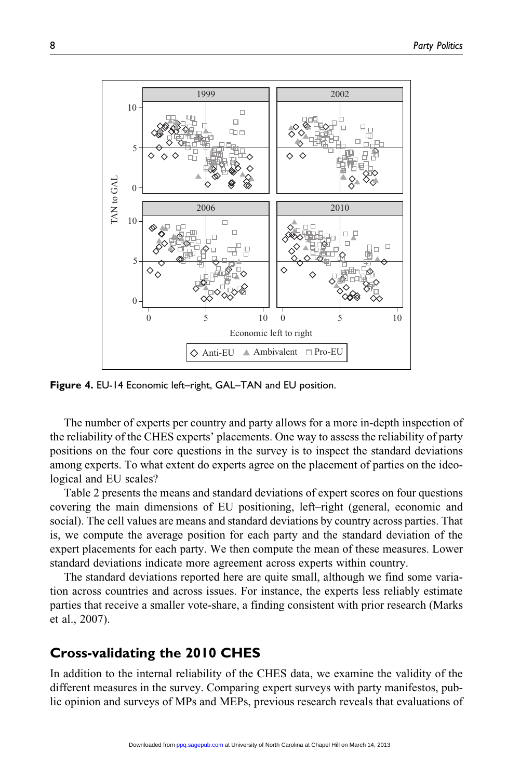

Figure 4. EU-14 Economic left–right, GAL–TAN and EU position.

The number of experts per country and party allows for a more in-depth inspection of the reliability of the CHES experts' placements. One way to assess the reliability of party positions on the four core questions in the survey is to inspect the standard deviations among experts. To what extent do experts agree on the placement of parties on the ideological and EU scales?

Table 2 presents the means and standard deviations of expert scores on four questions covering the main dimensions of EU positioning, left–right (general, economic and social). The cell values are means and standard deviations by country across parties. That is, we compute the average position for each party and the standard deviation of the expert placements for each party. We then compute the mean of these measures. Lower standard deviations indicate more agreement across experts within country.

The standard deviations reported here are quite small, although we find some variation across countries and across issues. For instance, the experts less reliably estimate parties that receive a smaller vote-share, a finding consistent with prior research (Marks et al., 2007).

## Cross-validating the 2010 CHES

In addition to the internal reliability of the CHES data, we examine the validity of the different measures in the survey. Comparing expert surveys with party manifestos, public opinion and surveys of MPs and MEPs, previous research reveals that evaluations of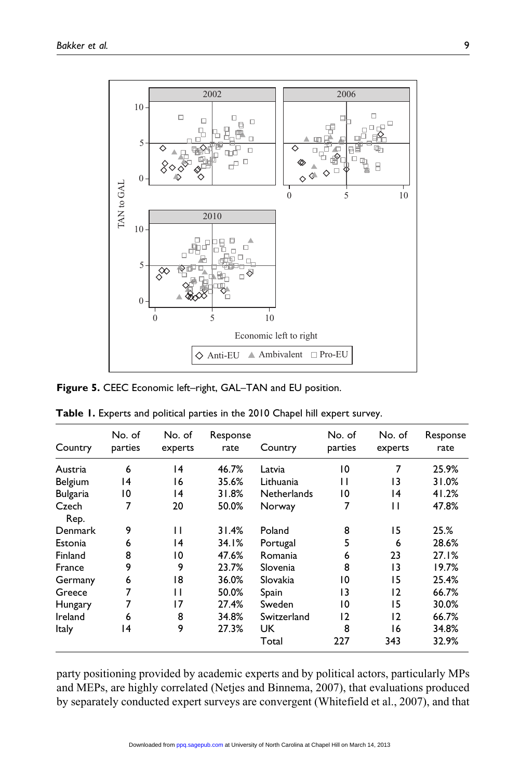

Figure 5. CEEC Economic left–right, GAL–TAN and EU position.

| Country         | No. of<br>parties | No. of<br>experts | Response<br>rate | Country            | No. of<br>parties | No. of<br>experts | Response<br>rate |
|-----------------|-------------------|-------------------|------------------|--------------------|-------------------|-------------------|------------------|
| Austria         | 6                 | 14                | 46.7%            | Latvia             | 10                | 7                 | 25.9%            |
| Belgium         | 14                | 16                | 35.6%            | Lithuania          | П                 | 13                | 31.0%            |
| <b>Bulgaria</b> | 10                | 14                | 31.8%            | <b>Netherlands</b> | 10                | 14                | 41.2%            |
| Czech           | 7                 | 20                | 50.0%            | Norway             | 7                 | п                 | 47.8%            |
| Rep.            |                   |                   |                  |                    |                   |                   |                  |
| Denmark         | 9                 | П                 | 31.4%            | Poland             | 8                 | 15                | 25.%             |
| Estonia         | 6                 | 14                | 34.1%            | Portugal           | 5                 | 6                 | 28.6%            |
| Finland         | 8                 | 10                | 47.6%            | Romania            | 6                 | 23                | 27.1%            |
| France          | 9                 | 9                 | 23.7%            | Slovenia           | 8                 | 13                | 19.7%            |
| Germany         | 6                 | 18                | 36.0%            | Slovakia           | 10                | 15                | 25.4%            |
| Greece          |                   | П                 | 50.0%            | Spain              | 13                | 2                 | 66.7%            |
| Hungary         |                   | 17                | 27.4%            | Sweden             | 10                | 15                | 30.0%            |
| Ireland         | 6                 | 8                 | 34.8%            | Switzerland        | 12                | 12                | 66.7%            |
| <b>Italy</b>    | 14                | 9                 | 27.3%            | UK.                | 8                 | 16                | 34.8%            |
|                 |                   |                   |                  | Total              | 227               | 343               | 32.9%            |

Table 1. Experts and political parties in the 2010 Chapel hill expert survey.

party positioning provided by academic experts and by political actors, particularly MPs and MEPs, are highly correlated (Netjes and Binnema, 2007), that evaluations produced by separately conducted expert surveys are convergent (Whitefield et al., 2007), and that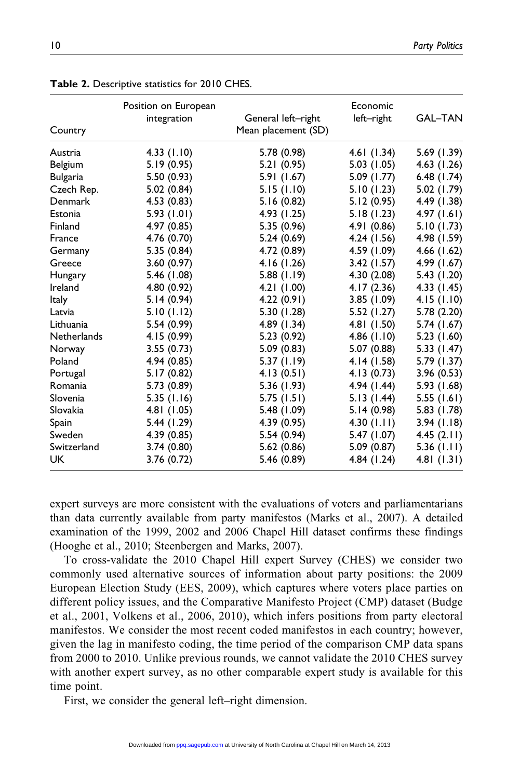| Country            | Position on European<br>integration | General left-right<br>Mean placement (SD) | Economic<br>left-right | <b>GAL-TAN</b> |
|--------------------|-------------------------------------|-------------------------------------------|------------------------|----------------|
| Austria            | 4.33(1.10)                          | 5.78 (0.98)                               | 4.61(1.34)             | 5.69 (1.39)    |
| Belgium            | 5.19(0.95)                          | 5.21(0.95)                                | 5.03(1.05)             | 4.63 (1.26)    |
| <b>Bulgaria</b>    | 5.50(0.93)                          | 5.91 (1.67)                               | 5.09 (1.77)            | 6.48(1.74)     |
| Czech Rep.         | 5.02(0.84)                          | 5.15(1.10)                                | 5.10(1.23)             | 5.02 (1.79)    |
| <b>Denmark</b>     | 4.53(0.83)                          | 5.16(0.82)                                | 5.12(0.95)             | 4.49 (1.38)    |
| Estonia            | 5.93(1.01)                          | 4.93 (1.25)                               | 5.18(1.23)             | 4.97(1.61)     |
| Finland            | 4.97(0.85)                          | 5.35 (0.96)                               | 4.91(0.86)             | 5.10 (1.73)    |
| France             | 4.76 (0.70)                         | 5.24(0.69)                                | 4.24(1.56)             | 4.98 (1.59)    |
| Germany            | 5.35(0.84)                          | 4.72 (0.89)                               | 4.59 (1.09)            | 4.66(1.62)     |
| Greece             | 3.60(0.97)                          | 4.16(1.26)                                | 3.42(1.57)             | 4.99 (1.67)    |
| Hungary            | 5.46 (1.08)                         | 5.88(1.19)                                | 4.30 (2.08)            | 5.43 (1.20)    |
| Ireland            | 4.80 (0.92)                         | 4.21(1.00)                                | 4.17(2.36)             | 4.33 (1.45)    |
| <b>Italy</b>       | 5.14(0.94)                          | 4.22(0.91)                                | 3.85 (1.09)            | 4.15(1.10)     |
| Latvia             | 5.10(1.12)                          | 5.30 (1.28)                               | 5.52 (1.27)            | 5.78 (2.20)    |
| Lithuania          | 5.54 (0.99)                         | 4.89 (1.34)                               | 4.81 (1.50)            | 5.74 (1.67)    |
| <b>Netherlands</b> | 4.15 (0.99)                         | 5.23(0.92)                                | 4.86 $(1.10)$          | 5.23 (1.60)    |
| Norway             | 3.55(0.73)                          | 5.09(0.83)                                | 5.07 (0.88)            | 5.33 (1.47)    |
| Poland             | 4.94 (0.85)                         | 5.37(1.19)                                | 4.14(1.58)             | 5.79 (1.37)    |
| Portugal           | 5.17(0.82)                          | 4.13(0.51)                                | 4.13(0.73)             | 3.96(0.53)     |
| Romania            | 5.73 (0.89)                         | 5.36 (1.93)                               | 4.94 (1.44)            | 5.93 (1.68)    |
| Slovenia           | 5.35(1.16)                          | 5.75(1.51)                                | 5.13(1.44)             | 5.55(1.61)     |
| Slovakia           | 4.81 (1.05)                         | 5.48 (1.09)                               | 5.14(0.98)             | 5.83 (1.78)    |
| Spain              | 5.44 (1.29)                         | 4.39 (0.95)                               | 4.30 $(1.11)$          | 3.94(1.18)     |
| Sweden             | 4.39 (0.85)                         | 5.54(0.94)                                | 5.47 (1.07)            | 4.45 $(2.11)$  |
| Switzerland        | 3.74(0.80)                          | 5.62(0.86)                                | 5.09(0.87)             | 5.36(1.11)     |
| <b>UK</b>          | 3.76(0.72)                          | 5.46 (0.89)                               | 4.84 (1.24)            | 4.81(1.31)     |

Table 2. Descriptive statistics for 2010 CHES.

expert surveys are more consistent with the evaluations of voters and parliamentarians than data currently available from party manifestos (Marks et al., 2007). A detailed examination of the 1999, 2002 and 2006 Chapel Hill dataset confirms these findings (Hooghe et al., 2010; Steenbergen and Marks, 2007).

To cross-validate the 2010 Chapel Hill expert Survey (CHES) we consider two commonly used alternative sources of information about party positions: the 2009 European Election Study (EES, 2009), which captures where voters place parties on different policy issues, and the Comparative Manifesto Project (CMP) dataset (Budge et al., 2001, Volkens et al., 2006, 2010), which infers positions from party electoral manifestos. We consider the most recent coded manifestos in each country; however, given the lag in manifesto coding, the time period of the comparison CMP data spans from 2000 to 2010. Unlike previous rounds, we cannot validate the 2010 CHES survey with another expert survey, as no other comparable expert study is available for this time point.

First, we consider the general left–right dimension.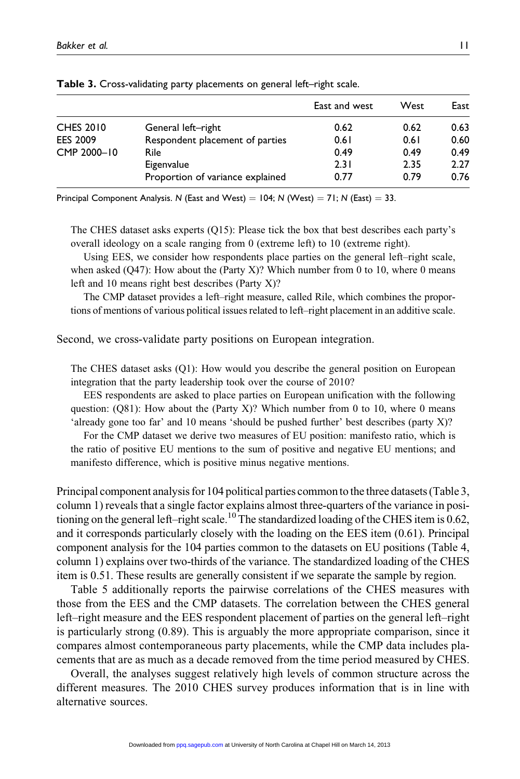|                  |                                  | East and west | West | East |
|------------------|----------------------------------|---------------|------|------|
| <b>CHES 2010</b> | General left-right               | 0.62          | 0.62 | 0.63 |
| <b>EES 2009</b>  | Respondent placement of parties  | 0.61          | 0.61 | 0.60 |
| CMP 2000-10      | Rile                             | 0.49          | 0.49 | 0.49 |
|                  | Eigenvalue                       | 2.31          | 2.35 | 2.27 |
|                  | Proportion of variance explained | 0.77          | 0.79 | 0.76 |

Table 3. Cross-validating party placements on general left–right scale.

Principal Component Analysis. N (East and West) =  $104$ ; N (West) =  $71$ ; N (East) = 33.

The CHES dataset asks experts (Q15): Please tick the box that best describes each party's overall ideology on a scale ranging from 0 (extreme left) to 10 (extreme right).

Using EES, we consider how respondents place parties on the general left–right scale, when asked  $(Q47)$ : How about the  $(Party X)$ ? Which number from 0 to 10, where 0 means left and 10 means right best describes (Party X)?

The CMP dataset provides a left–right measure, called Rile, which combines the proportions of mentions of various political issues related to left–right placement in an additive scale.

Second, we cross-validate party positions on European integration.

The CHES dataset asks (Q1): How would you describe the general position on European integration that the party leadership took over the course of 2010?

EES respondents are asked to place parties on European unification with the following question: ( $O(81)$ : How about the (Party X)? Which number from 0 to 10, where 0 means 'already gone too far' and 10 means 'should be pushed further' best describes (party X)?

For the CMP dataset we derive two measures of EU position: manifesto ratio, which is the ratio of positive EU mentions to the sum of positive and negative EU mentions; and manifesto difference, which is positive minus negative mentions.

Principal component analysis for 104 political parties commonto the three datasets (Table 3, column 1) reveals that a single factor explains almost three-quarters of the variance in positioning on the general left–right scale.<sup>10</sup>The standardized loading of the CHES item is 0.62, and it corresponds particularly closely with the loading on the EES item (0.61). Principal component analysis for the 104 parties common to the datasets on EU positions (Table 4, column 1) explains over two-thirds of the variance. The standardized loading of the CHES item is 0.51. These results are generally consistent if we separate the sample by region.

Table 5 additionally reports the pairwise correlations of the CHES measures with those from the EES and the CMP datasets. The correlation between the CHES general left–right measure and the EES respondent placement of parties on the general left–right is particularly strong (0.89). This is arguably the more appropriate comparison, since it compares almost contemporaneous party placements, while the CMP data includes placements that are as much as a decade removed from the time period measured by CHES.

Overall, the analyses suggest relatively high levels of common structure across the different measures. The 2010 CHES survey produces information that is in line with alternative sources.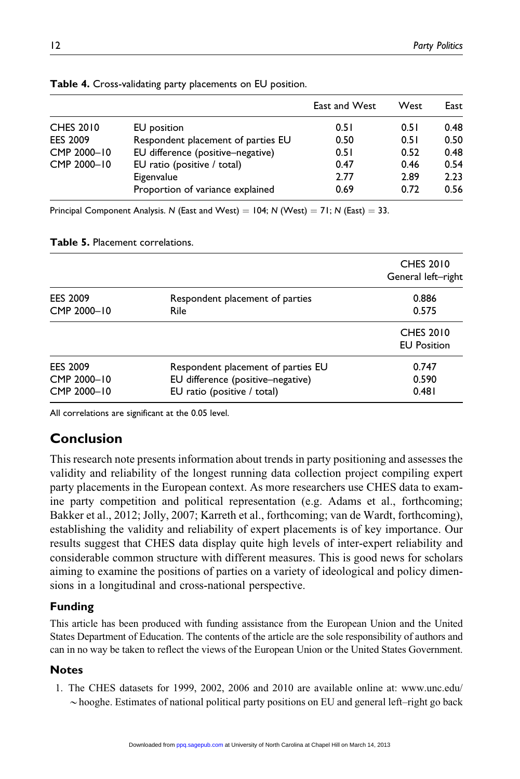|                  |                                    | East and West | West | East |
|------------------|------------------------------------|---------------|------|------|
| <b>CHES 2010</b> | EU position                        | 0.51          | 0.51 | 0.48 |
| <b>EES 2009</b>  | Respondent placement of parties EU | 0.50          | 0.51 | 0.50 |
| CMP 2000-10      | EU difference (positive-negative)  | 0.51          | 0.52 | 0.48 |
| CMP 2000-10      | EU ratio (positive / total)        | 0.47          | 0.46 | 0.54 |
|                  | Eigenvalue                         | 2.77          | 2.89 | 2.23 |
|                  | Proportion of variance explained   | 0.69          | 0.72 | 0.56 |

Principal Component Analysis. N (East and West) =  $104$ ; N (West) =  $71$ ; N (East) = 33.

| <b>Table 5.</b> Placement correlations. |                                                                         |                                        |  |  |
|-----------------------------------------|-------------------------------------------------------------------------|----------------------------------------|--|--|
|                                         |                                                                         | <b>CHES 2010</b><br>General left-right |  |  |
| <b>EES 2009</b><br>CMP 2000-10          | Respondent placement of parties<br><b>Rile</b>                          | 0.886<br>0.575                         |  |  |
|                                         |                                                                         | <b>CHES 2010</b><br><b>EU Position</b> |  |  |
| <b>EES 2009</b><br>CMP 2000-10          | Respondent placement of parties EU<br>EU difference (positive-negative) | 0.747<br>0.590                         |  |  |

CMP 2000–10 EU ratio (positive / total) 0.481

All correlations are significant at the 0.05 level.

# Conclusion

This research note presents information about trends in party positioning and assesses the validity and reliability of the longest running data collection project compiling expert party placements in the European context. As more researchers use CHES data to examine party competition and political representation (e.g. Adams et al., forthcoming; Bakker et al., 2012; Jolly, 2007; Karreth et al., forthcoming; van de Wardt, forthcoming), establishing the validity and reliability of expert placements is of key importance. Our results suggest that CHES data display quite high levels of inter-expert reliability and considerable common structure with different measures. This is good news for scholars aiming to examine the positions of parties on a variety of ideological and policy dimensions in a longitudinal and cross-national perspective.

## Funding

This article has been produced with funding assistance from the European Union and the United States Department of Education. The contents of the article are the sole responsibility of authors and can in no way be taken to reflect the views of the European Union or the United States Government.

## **Notes**

1. The CHES datasets for 1999, 2002, 2006 and 2010 are available online at: www.unc.edu/  $\sim$ hooghe. Estimates of national political party positions on EU and general left–right go back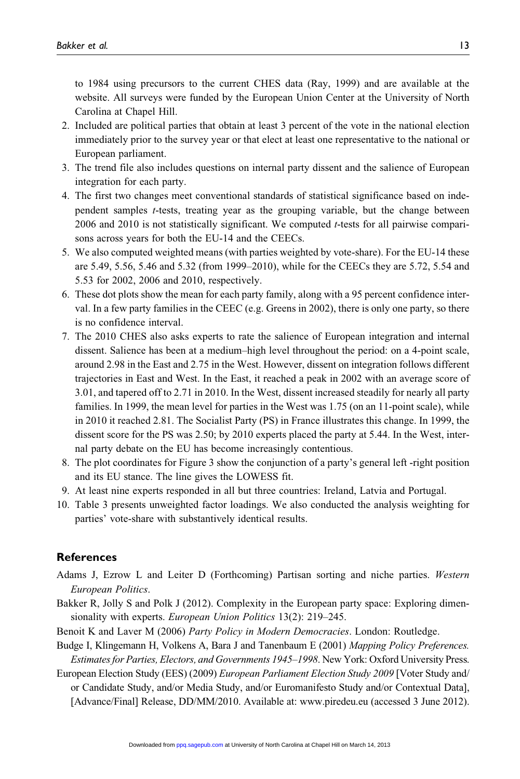to 1984 using precursors to the current CHES data (Ray, 1999) and are available at the website. All surveys were funded by the European Union Center at the University of North Carolina at Chapel Hill.

- 2. Included are political parties that obtain at least 3 percent of the vote in the national election immediately prior to the survey year or that elect at least one representative to the national or European parliament.
- 3. The trend file also includes questions on internal party dissent and the salience of European integration for each party.
- 4. The first two changes meet conventional standards of statistical significance based on independent samples t-tests, treating year as the grouping variable, but the change between 2006 and 2010 is not statistically significant. We computed t-tests for all pairwise comparisons across years for both the EU-14 and the CEECs.
- 5. We also computed weighted means (with parties weighted by vote-share). For the EU-14 these are 5.49, 5.56, 5.46 and 5.32 (from 1999–2010), while for the CEECs they are 5.72, 5.54 and 5.53 for 2002, 2006 and 2010, respectively.
- 6. These dot plots show the mean for each party family, along with a 95 percent confidence interval. In a few party families in the CEEC (e.g. Greens in 2002), there is only one party, so there is no confidence interval.
- 7. The 2010 CHES also asks experts to rate the salience of European integration and internal dissent. Salience has been at a medium–high level throughout the period: on a 4-point scale, around 2.98 in the East and 2.75 in the West. However, dissent on integration follows different trajectories in East and West. In the East, it reached a peak in 2002 with an average score of 3.01, and tapered off to 2.71 in 2010. In the West, dissent increased steadily for nearly all party families. In 1999, the mean level for parties in the West was 1.75 (on an 11-point scale), while in 2010 it reached 2.81. The Socialist Party (PS) in France illustrates this change. In 1999, the dissent score for the PS was 2.50; by 2010 experts placed the party at 5.44. In the West, internal party debate on the EU has become increasingly contentious.
- 8. The plot coordinates for Figure 3 show the conjunction of a party's general left -right position and its EU stance. The line gives the LOWESS fit.
- 9. At least nine experts responded in all but three countries: Ireland, Latvia and Portugal.
- 10. Table 3 presents unweighted factor loadings. We also conducted the analysis weighting for parties' vote-share with substantively identical results.

#### **References**

- Adams J, Ezrow L and Leiter D (Forthcoming) Partisan sorting and niche parties. Western European Politics.
- Bakker R, Jolly S and Polk J (2012). Complexity in the European party space: Exploring dimensionality with experts. European Union Politics 13(2): 219–245.
- Benoit K and Laver M (2006) Party Policy in Modern Democracies. London: Routledge.
- Budge I, Klingemann H, Volkens A, Bara J and Tanenbaum E (2001) Mapping Policy Preferences. Estimates for Parties, Electors, and Governments 1945–1998. New York: Oxford University Press.
- European Election Study (EES) (2009) European Parliament Election Study 2009 [Voter Study and/ or Candidate Study, and/or Media Study, and/or Euromanifesto Study and/or Contextual Data], [Advance/Final] Release, DD/MM/2010. Available at: www.piredeu.eu (accessed 3 June 2012).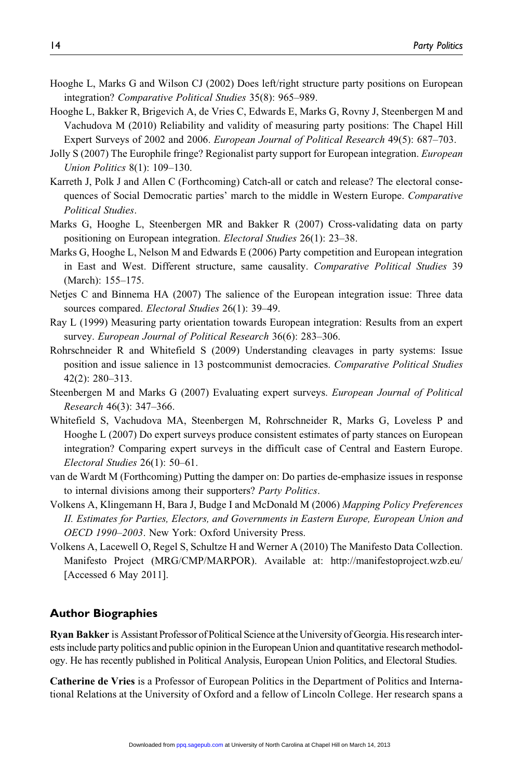- Hooghe L, Marks G and Wilson CJ (2002) Does left/right structure party positions on European integration? Comparative Political Studies 35(8): 965–989.
- Hooghe L, Bakker R, Brigevich A, de Vries C, Edwards E, Marks G, Rovny J, Steenbergen M and Vachudova M (2010) Reliability and validity of measuring party positions: The Chapel Hill Expert Surveys of 2002 and 2006. European Journal of Political Research 49(5): 687–703.
- Jolly S (2007) The Europhile fringe? Regionalist party support for European integration. European Union Politics 8(1): 109–130.
- Karreth J, Polk J and Allen C (Forthcoming) Catch-all or catch and release? The electoral consequences of Social Democratic parties' march to the middle in Western Europe. Comparative Political Studies.
- Marks G, Hooghe L, Steenbergen MR and Bakker R (2007) Cross-validating data on party positioning on European integration. *Electoral Studies* 26(1): 23–38.
- Marks G, Hooghe L, Nelson M and Edwards E (2006) Party competition and European integration in East and West. Different structure, same causality. Comparative Political Studies 39 (March): 155–175.
- Netjes C and Binnema HA (2007) The salience of the European integration issue: Three data sources compared. Electoral Studies 26(1): 39–49.
- Ray L (1999) Measuring party orientation towards European integration: Results from an expert survey. European Journal of Political Research 36(6): 283-306.
- Rohrschneider R and Whitefield S (2009) Understanding cleavages in party systems: Issue position and issue salience in 13 postcommunist democracies. Comparative Political Studies 42(2): 280–313.
- Steenbergen M and Marks G (2007) Evaluating expert surveys. European Journal of Political Research 46(3): 347–366.
- Whitefield S, Vachudova MA, Steenbergen M, Rohrschneider R, Marks G, Loveless P and Hooghe L (2007) Do expert surveys produce consistent estimates of party stances on European integration? Comparing expert surveys in the difficult case of Central and Eastern Europe. Electoral Studies 26(1): 50–61.
- van de Wardt M (Forthcoming) Putting the damper on: Do parties de-emphasize issues in response to internal divisions among their supporters? Party Politics.
- Volkens A, Klingemann H, Bara J, Budge I and McDonald M (2006) Mapping Policy Preferences II. Estimates for Parties, Electors, and Governments in Eastern Europe, European Union and OECD 1990–2003. New York: Oxford University Press.
- Volkens A, Lacewell O, Regel S, Schultze H and Werner A (2010) The Manifesto Data Collection. Manifesto Project (MRG/CMP/MARPOR). Available at: http://manifestoproject.wzb.eu/ [Accessed 6 May 2011].

#### Author Biographies

Ryan Bakker is Assistant Professor of Political Science atthe University of Georgia. His researchinterests include party politics and public opinion in the European Union and quantitative research methodology. He has recently published in Political Analysis, European Union Politics, and Electoral Studies.

Catherine de Vries is a Professor of European Politics in the Department of Politics and International Relations at the University of Oxford and a fellow of Lincoln College. Her research spans a